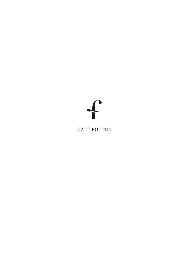## $\int$

**CAFÉ FOTTER**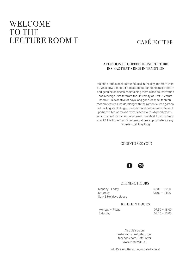## WELCOME TO THE LECTURE ROOM F

### CAFÉ FOTTER

#### A PORTION OF COFFEEHOUSE CULTURE IN GRAZ THAT'S RICH IN TRADITION

As one of the oldest coffee houses in the city, for more than 80 yeas now the Fotter had stood out for its nostalgic charm and genuine cosiness, maintaining them since its renovation and redesign. Not far from the University of Graz, "Lecture Room F" is evocative of days long gone, despite its fresh, modern features inside, along with the romantic rose garden, all inviting you to linger. Freshly made coffee and croissant perhaps? Tea or maybe rather cocoa with whipped cream, accompanied by home-made cake? Breakfast, lunch or tasty snack? The Fotter can offer temptations appropriate for any occastion, all they long.

#### GOOD TO SEE YOU!



#### OPENING HOURS

| Monday-Friday          | $07:30 - 19:00$ |
|------------------------|-----------------|
| Saturday               | $08:00 - 14:00$ |
| Sun- & Holidays closed |                 |

#### KITCHEN HOURS

| Monday - Friday | $07:30 - 18:00$ |
|-----------------|-----------------|
| Saturday        | $08:00 - 13:00$ |

Also visit us on: instagram.com/cafe\_fotter facebook.com/CafeFotter www.tripadvisor.at

info@cafe-fotter.at | www.cafe-fotter.at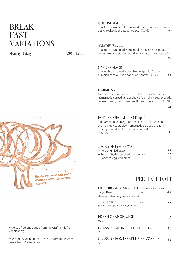## BREAK FAST VARIATIONS

Monday - Friday 7:30 – 12:00

#### GOLDSUMMER

*9,7* Toasted brown bread, homemade avocado mash, tomato pesto, rocket, kress, poached egg *(A,C,G)*

AMADEUS (vegan)

*9,7* Toasted brown bread, homemade runner beans mash, oven-baked vegetables, sun dried tomatos, pick lettuce *(A)*

GARDEN MAGIC

toasted brown bread, scrambled eggs with Styrian pumpkin seed oil, fried bacon and chives *(A,C,G)*

*9,7*

#### HARMONY

Ham, cheese, butter, cucumber, bell pepper, tomatos, homemade spread at your choice (pumpkin seed, avocado, runners been), fresh bread, multi seed bun and roll *(A,C,G)*

*9,5*

*21*



#### FOTTER SPECIAL (for 2 People)

Fine variation to enjoy: ham, cheese, butter, fresh and oven-baked vegetables, homemade spreads and jam, fresh rye bread, multi seed buns and rolls *(A,C,G,H,L,N)*

#### UPGRADE FOR PRO'S

| + Portion grilled bacon               | 2.9 |
|---------------------------------------|-----|
| + Portion Styrian smoked salmon trout | 5.6 |
| + Poached egg with cress              | 2.4 |

#### PERFECT TO IT

| OUR ORGANIC SMOOTHIES (100% fruit and water)                 |       |     |
|--------------------------------------------------------------|-------|-----|
| Royal Berry<br>(blueberry, strawberry, banana, aronia)       | 0.251 | 4.9 |
| <b>Tropic Twister</b><br>(mango, pineapple, coconut, orange) | 0,25  | 4.9 |
| <b>FRESH ORANGEJUICE</b><br>0,25                             |       | 4.8 |
| <b>GLASS OF MIONETTO PROSECCO</b><br>0,11                    |       | 3.6 |
| <b>GLASS OF FOX ISABELLA FRIZZANTE</b><br>0,11               |       | 4.4 |

\* We use freerange eggs from the Graf family from Vasoldsberg.

\*\* We use Styrian pumpin seed oil from the Pucher family from Premstätten.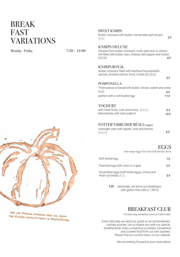## BREAK FAST VARIATIONS

Monday - Friday 7:30 – 12:00

#### SWEET KNIRPS

Butter croissant with butter, homemade apricot jam *(A,G)*

#### KNIRPS DELUXE

Choose from butter croissant, multi seed bun or classic roll filled with butter, ham, cheese, bell pepper and rocket *(A,C,G) 4,9*

#### KNIRPS ROYAL

Butter croissant filled with beetroot-hourseredish spread, smoked salmon trout, rocket *(A,C,D,G)*

#### POMPONELLA

| Three pieces of bread with butter, chives, radish and cress |       |
|-------------------------------------------------------------|-------|
| (A,G)                                                       | 4.5   |
| perfect with a soft boiled egg                              | $+16$ |

#### YOGHURT

| with fresh fruits, nuts and honey $(A, G, H)$ | 6.4    |
|-----------------------------------------------|--------|
| alternatively with oats yoghurt               | $+0.5$ |

#### FOTTER'S BIRCHER MÜSLI (vegan)

overnight oats with apples, nuts and berries *(A,G,H)*

*6,4*

#### EGGS

free-range eggs from the Graf family's farm

| Soft boiled egg                                                          | 1.6 |
|--------------------------------------------------------------------------|-----|
| Poached egg with cress in a glas                                         | 2.4 |
| Scrambled eggs (with three eggs), chives and<br>fresh rye bread $(A, C)$ | 5.9 |

TIP: Optionally, we serve our breakfasts with gluten-free rolls  $(+ 1,80 \in)$ 

#### BREAKFAST CLUB

The Saturday breakfast event at Café Fotter

Every Saturday we send our guest on an extraordanary culinary journey. Let us inspire you with our special breakfastclub menu containing a cocktail, a breakfast and a sweet final from our own backery. Please find our current menu on our website.

We are looking forward to your reservation!



 We use Styrian pumpkin seed oil from the Pucher family's farm in Premstätten. *3,9*

*5,9*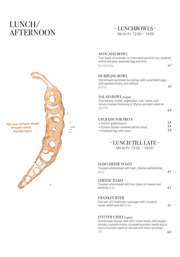## LUNCH/ AFTERNOON

#### Mo to Fr: 12:00 – 14:00 - LUNCHBOWLS -

# Try our famous vegan Styrian-style Fotter-Chili

#### AVOCADO BOWL

*9,7* Two types of avocado on marinated jasmine rice, sesame, cherry tomatos, poached egg and lime *(A,C,G,F,H,N)*

#### DUMPLING BOWL

*9,7* Homemade rye bread dumplings with scrambled eggs and roasted onions, pick lettuce *(A,C,G)*

#### SALAD BOWL (vegan)

Pick lettuce, rocket, vegetables, nuts, herbs, with honey-mustard dressing or Styrian pumpkin seed oil *(A,H,M)*

#### UPGRADE FOR PRO'S

| + Portion grilled bacon               | 2.9 |
|---------------------------------------|-----|
| + Portion Styrian smoked salmon trout | 5.6 |
| + Poached egg with cress              | 2.4 |

#### - LUNCH TILL LATE -

Mo to Fr: 12:00 – 18:00

#### HAM CHEESE TOAST

Toasted white bread with ham, cheese and ketchup *(A,G)* 

#### CHEESE TOAST

#### Toasted white bread with two types of cheese and ketchup *(A,G)*

*4,1*

*4,1*

*6,9*

#### FRANKFURTER

One pair of Frankfurter sausages with mustard, horse radish and roll *(A,M)* 

*4,1*

#### FOTTER CHILI (vegan)

Homemade Styrian chili with runner beans, bell pepper, tomato, roasted onions, chopped pumpkin seeds and a shot of pumkin seed oil. Served with fresh rye bread  *(A)*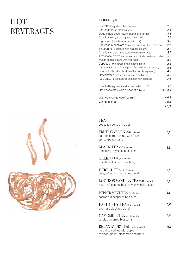## HOT BEVERAGES



#### COFFEE  *(G)*

| Ristretto (very short black coffee)                        | 2,2     |
|------------------------------------------------------------|---------|
| Espresso (short black coffee)                              | 2,4     |
| Double Espresso (double short black coffee)                | 3,5     |
|                                                            | 2,7     |
| Small brown (single espresso with milk)                    | 3,8     |
| Big brown (double espresso with milk)                      |         |
| Espresso Macchiato (espresso and a touch of milk foam)     | 2,7     |
| Einspänner (espresso with whipped cream)                   | 2,9     |
| Americano black (espresso diluted with hot water)          | 2,9     |
| Americano brown (espresso diluted with hot water and milk) | 3,2     |
| Melange (americano with milk foam)                         | 3,5     |
| Cappuccino (espresso with steamed milk)                    | 3,5     |
| Latte Macchiato (large glass of st. milk with espresso)    | 3,6     |
| Double Latte Macchiato (with a double espresso)            | 4,3     |
| Häferlkaffee (americano with steamed milk)                 | 3,8     |
| Iced Latte (large glass of cold milk with espresso)        | 3,6     |
|                                                            |         |
| Chai Latte (spiced tea with steamed milk) $(G)$            | 3,6     |
| Hot chocolate / with a shot of rum $(G)$                   | 3,6/4,9 |
| With oats or lactose-free milk                             | + 0,3   |
| Whipped cream                                              | $+0,3$  |
|                                                            |         |
| Rum                                                        | $+1.3$  |

| TEA<br>Loose tea served in a pot                                                                             |     |
|--------------------------------------------------------------------------------------------------------------|-----|
| <b>FRUIT GARDEN</b> (5-10 minutes)<br>harmonic fruit mixture with fresh<br>apricot-peach taste               | 3,8 |
| <b>BLACK TEA</b> (2-5 minutes)<br>Darjeeling Royal Second Flush                                              | 3,8 |
| <b>GREEN TEA</b> (2-3 minutes)<br>Bio China Jasmine Souchong                                                 | 3.8 |
| <b>HERBAL TEA (5-10 minutes)</b><br>pure, refreshing herbal tea blend                                        | 3,8 |
| ROOIBOS VANILLA TEA (5-10 minutes)<br>South African rooibos tea with vanilla pieces                          | 3,8 |
| PEPPER MINT TEA (5-10 minutes)<br>coarse cut pepper mint leaves                                              | 3,8 |
| EARL GREY TEA (2-5 minutes)<br>aromatic black tea blend                                                      | 3,8 |
| <b>CAMOMILE TEA</b> (5-10 minutes)<br>whole camomile blossoms                                                | 3,8 |
| <b>RELAX AYURVITAL (5-10 minutes)</b><br>herbal-spiced tea with apple,<br>rooibos, ginger, cinnamon and more | 3,8 |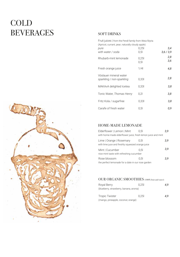## COLD BEVERAGES

#### SOFT DRINKS

| Fruit juices   from the Pendl family from Weiz/Styria<br>(Apricot, currant, pear, naturally cloudy apple) |                  |            |
|-----------------------------------------------------------------------------------------------------------|------------------|------------|
| pure                                                                                                      | 0,251            | 3.4        |
| with water / soda                                                                                         | 0.5 <sub>l</sub> | 3,6/3,9    |
| Rhubarb-mint lemonade                                                                                     | 0.251<br>0,51    | 2,8<br>3.6 |
| Fresh orange juice                                                                                        | 1/4              | 4.8        |
| Vöslauer mineral water<br>sparkling / non-sparkling                                                       | 0.331            | 2,8        |
| MAKAvA delighted Icetea                                                                                   | 0.331            | 3.8        |
| Tonic Water, Thomas Henry                                                                                 | 0.21             | 3,8        |
| Fritz Kola / sugarfree                                                                                    | 0,331            | 3,8        |
| Carafe of fresh water                                                                                     | 0.51             | 0.9        |

#### HOME-MADE LEMONADE

| Elderflower   Lemon   Mint                                   | 0.51 | 3.9 |
|--------------------------------------------------------------|------|-----|
| with home-made elderflower juice, fresh lemon juice and mint |      |     |
| Lime   Orange   Rosemary                                     | 0.51 | 3.9 |
| with lime juce and freshly squeezed orange juice             |      |     |
| Mint   Cucumber                                              | 0.51 | 3,9 |
| nice mint taste with refreshing cucumber                     |      |     |
| Rose blossom                                                 | 0.51 | 3.9 |
| the perfect lemonade for a date in our rose garden           |      |     |

#### OUR ORGANIC SMOOTHIES (100% fruit and water)

| Royal Berry                             | 0.251 | 4.9 |
|-----------------------------------------|-------|-----|
| (blueberry, strawberry, banana, aronia) |       |     |
|                                         |       |     |
| Tropic Twister                          | 0.251 | 4.9 |
| (mango, pineapple, coconut, orange)     |       |     |

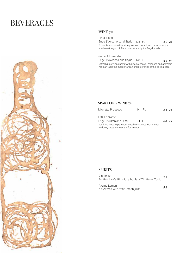## BEVERAGES



#### WINE  *(O)*

*3,9* | *23* Pinot Blanc Engel | Volcano Land Styria 1/8 | Fl. A popular classic white wine grown on the vulcanic grounds of the south-east region of Styria. Handmade by the Engel family.

Gelber Muskateller

*3,9* | *23* Engel | Volcano Land Styria 1/8 | Fl. Refreshing styrian aperitif with nice sourness - balanced and aromatic. You can taste the mediterranean characteristics of this special area.

#### SPARKLING WINE  *(O)*

| Mionetto Prosecco                                                                                     | $0.1$   Fl. | $3,6$   25    |
|-------------------------------------------------------------------------------------------------------|-------------|---------------|
| <b>FOX Frizzante</b>                                                                                  |             |               |
| Engel   Vulkanland Stmk.                                                                              | $0.1$ I FI. | $4.4 \mid 29$ |
| Sparkling Rosé Experience! Isabella Frizzante with intense<br>wildberry taste. Awakes the fox in you! |             |               |

#### SPIRITS

*7,8* Gin Tonic 4cl Hendrick´s Gin with a bottle of Th. Henry Tonic

Averna Lemon 4cl Averna with fresh lemon juice

*5,8*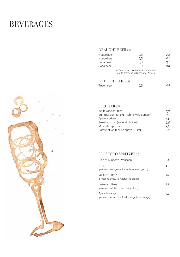## BEVERAGES

#### DRAUGHT BEER  *(A)*

| House beer | 0.3 <sub>l</sub>                                                               | 3.3 |
|------------|--------------------------------------------------------------------------------|-----|
| House beer | 0.5 <sub>l</sub>                                                               | 4.1 |
| Soda beer  | 0.31                                                                           | 3.1 |
| Soda beer  | 0.51                                                                           | 3.8 |
|            | Our house beer is an amber-coloured and<br>malts aromatic full beer from Murau |     |

#### BOTTLED BEER  *(A)*

| Tegernseer | 0,5 | 4,4 |
|------------|-----|-----|



| White wine spritzer                         | 3.3 |
|---------------------------------------------|-----|
| Summer spritzer (light white wine spritzer) | 3,1 |
| Aperol spritzer                             | 4.6 |
| Sweet spritzer (several choices)            | 3.5 |
| Muscatel spritzer                           | 4.6 |
| Carafe of white wine spritz (1 Liter)       | 9.9 |

#### PROSECCO SPRITZER  *(O)*

| Glas of Mionetto Prosecco                                            | 3.6 |
|----------------------------------------------------------------------|-----|
| Hugo<br>(prosecco, soda, elderflower, lime, lemon, mint)             | 4.9 |
| Venetian Spritz<br>(prosecco, soda, 4cl Aperol, ice, orange)         | 4.9 |
| Prosecco Berry<br>(prosecco, wildberry, ice, orange, berry)          | 4.9 |
| Aperol Orange<br>(prosecco, Aperol, ice, fresh orange juice, orange) | 4.9 |